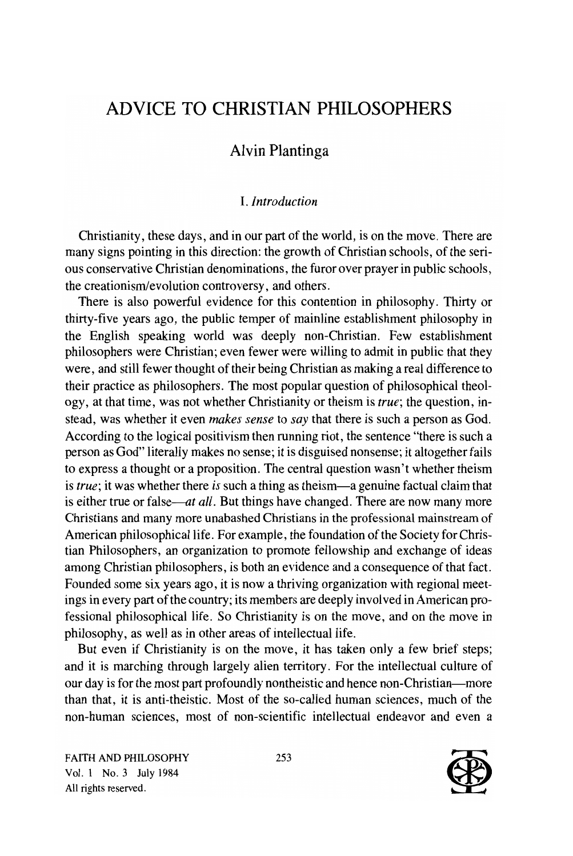# ADVICE TO CHRISTIAN PHILOSOPHERS

## Alvin Plantinga

## I. *Introduction*

Christianity, these days, and in our part of the world, is on the move. There are many signs pointing in this direction: the growth of Christian schools, of the serious conservative Christian denominations, the furor over prayer in public schools, the creationism/evolution controversy, and others.

There is also powerful evidence for this contention in philosophy. Thirty or thirty-five years ago, the public temper of mainline establishment philosophy in the English speaking world was deeply non-Christian. Few establishment philosophers were Christian; even fewer were willing to admit in public that they were, and still fewer thought of their being Christian as making a real difference to their practice as philosophers. The most popular question of philosophical theology, at that time, was not whether Christianity or theism is *true;* the question, instead, was whether it even *makes sense* to *say* that there is such a person as God. According to the logical positivism then running riot, the sentence "there is such a person as God" literally makes no sense; it is disguised nonsense; it altogether fails to express a thought or a proposition. The central question wasn't whether theism is *true*; it was whether there *is* such a thing as theism—a genuine factual claim that is either true or false—at all. But things have changed. There are now many more Christians and many more unabashed Christians in the professional mainstream of American philosophical life. For example, the foundation of the Society for Christian Philosophers, an organization to promote fellowship and exchange of ideas among Christian philosophers, is both an evidence and a consequence of that fact. Founded some six years ago, it is now a thriving organization with regional meetings in every part of the country; its members are deeply involved in American professional philosophical life. So Christianity is on the move, and on the move in philosophy, as well as in other areas of intellectual life.

But even if Christianity is on the move, it has taken only a few brief steps; and it is marching through largely alien territory. For the intellectual culture of our day is for the most part profoundly nontheistic and hence non-Christian-more than that, it is anti-theistic. Most of the so-called human sciences, much of the non-human sciences, most of non-scientific intellectual endeavor and even a

FAITH AND PHILOSOPHY Vol. 1 No.3 July 1984 All rights reserved.

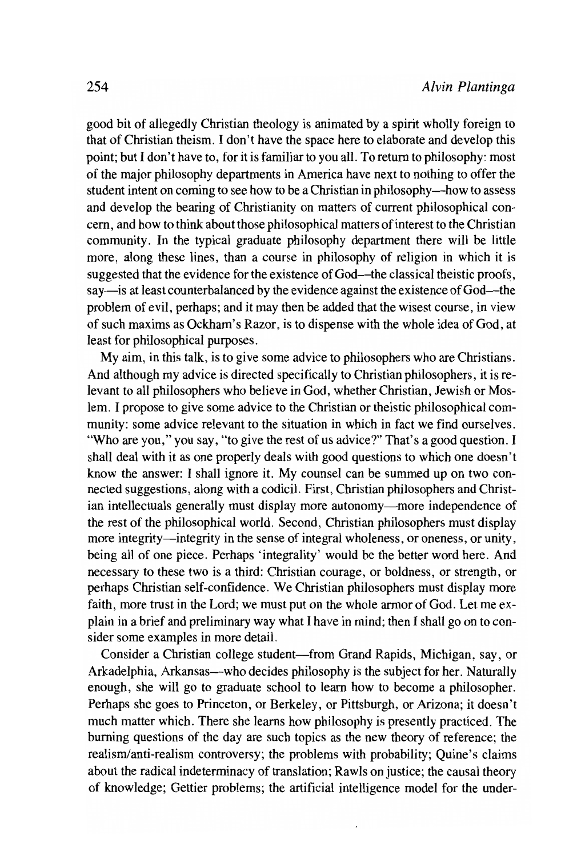good bit of allegedly Christian theology is animated by a spirit wholly foreign to that of Christian theism. I don't have the space here to elaborate and develop this point; but I don't have to, for it is familiar to you all. To return to philosophy: most of the major philosophy departments in America have next to nothing to offer the student intent on coming to see how to be a Christian in philosophy-how to assess and develop the bearing of Christianity on matters of current philosophical concern, and how to think about those philosophical matters of interest to the Christian community. In the typical graduate philosophy department there will be little more, along these lines, than a course in philosophy of religion in which it is suggested that the evidence for the existence of God—the classical theistic proofs, say—is at least counterbalanced by the evidence against the existence of God—the problem of evil, perhaps; and it may then be added that the wisest course, in view of such maxims as Ockham's Razor, is to dispense with the whole idea of God, at least for philosophical purposes.

My aim, in this talk, is to give some advice to philosophers who are Christians. And although my advice is directed specifically to Christian philosophers, it is relevant to all philosophers who believe in God, whether Christian, Jewish or Moslem. I propose to give some advice to the Christian or theistic philosophical community: some advice relevant to the situation in which in fact we find ourselves. "Who are you," you say, "to give the rest of us advice?" That's a good question. I shall deal with it as one properly deals with good questions to which one doesn't know the answer: I shall ignore it. My counsel can be summed up on two connected suggestions, along with a codicil. First, Christian philosophers and Christian intellectuals generally must display more autonomy—more independence of the rest of the philosophical world. Second, Christian philosophers must display more integrity—integrity in the sense of integral wholeness, or oneness, or unity, being all of one piece. Perhaps 'integrality' would be the better word here. And necessary to these two is a third: Christian courage, or boldness, or strength, or perhaps Christian self-confidence. We Christian philosophers must display more faith, more trust in the Lord; we must put on the whole armor of God. Let me explain in a brief and preliminary way what I have in mind; then I shall go on to consider some examples in more detail.

Consider a Christian college student—from Grand Rapids, Michigan, say, or Arkadelphia, Arkansas—who decides philosophy is the subject for her. Naturally enough, she will go to graduate school to learn how to become a philosopher. Perhaps she goes to Princeton, or Berkeley, or Pittsburgh, or Arizona; it doesn't much matter which. There she learns how philosophy is presently practiced. The burning questions of the day are such topics as the new theory of reference; the realism/anti-realism controversy; the problems with probability; Quine's claims about the radical indeterminacy of translation; Rawls on justice; the causal theory of knowledge; Gettier problems; the artificial intelligence model for the under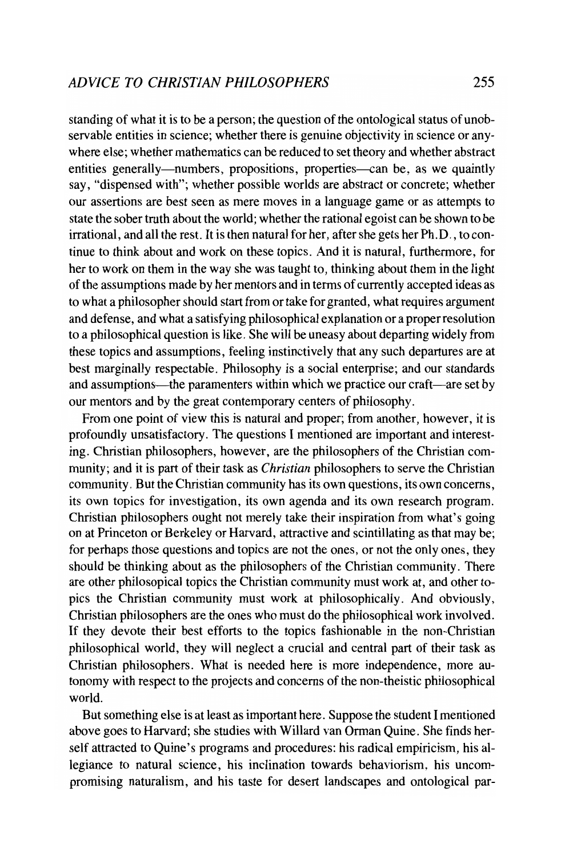standing of what it is to be a person; the question of the ontological status of unobservable entities in science; whether there is genuine objectivity in science or anywhere else; whether mathematics can be reduced to set theory and whether abstract entities generally—numbers, propositions, properties—can be, as we quaintly say, "dispensed with"; whether possible worlds are abstract or concrete; whether our assertions are best seen as mere moves in a language game or as attempts to state the sober truth about the world; whether the rational egoist can be shown to be irrational, and all the rest. It is then natural for her, after she gets her Ph.D., to continue to think about and work on these topics. And it is natural, furthermore, for her to work on them in the way she was taught to, thinking about them in the light of the assumptions made by her mentors and in terms of currently accepted ideas as to what a philosopher should start from or take for granted, what requires argument and defense, and what a satisfying philosophical explanation or a proper resolution to a philosophical question is like. She will be uneasy about departing widely from these topics and assumptions, feeling instinctively that any such departures are at best marginally respectable. Philosophy is a social enterprise; and our standards and assumptions—the paramenters within which we practice our craft—are set by our mentors and by the great contemporary centers of philosophy.

From one point of view this is natural and proper; from another, however, it is profoundly unsatisfactory. The questions I mentioned are important and interesting. Christian philosophers, however, are the philosophers of the Christian community; and it is part of their task as *Christian* philosophers to serve the Christian community. But the Christian community has its own questions, its own concerns, its own topics for investigation, its own agenda and its own research program. Christian philosophers ought not merely take their inspiration from what's going on at Princeton or Berkeley or Harvard, attractive and scintillating as that may be; for perhaps those questions and topics are not the ones, or not the only ones, they should be thinking about as the philosophers of the Christian community. There are other philosopical topics the Christian community must work at, and other topics the Christian community must work at philosophically. And obviously, Christian philosophers are the ones who must do the philosophical work involved. If they devote their best efforts to the topics fashionable in the non-Christian philosophical world, they will neglect a crucial and central part of their task as Christian philosophers. What is needed here is more independence, more autonomy with respect to the projects and concerns of the non-theistic philosophical world.

But something else is at least as important here. Suppose the student I mentioned above goes to Harvard; she studies with Willard van Orman Quine. She finds herself attracted to Quine's programs and procedures: his radical empiricism, his allegiance to natural science, his inclination towards behaviorism, his uncompromising naturalism, and his taste for desert landscapes and ontological par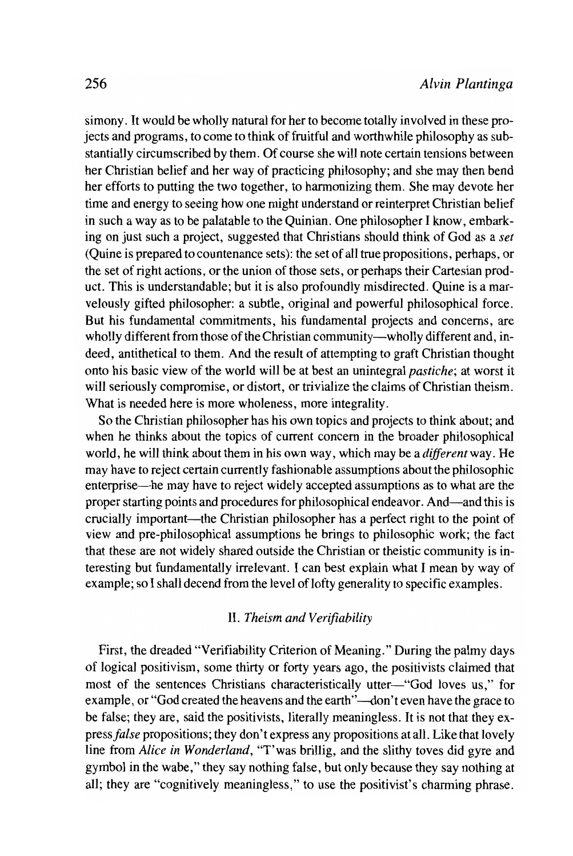simony. It would be wholly natural for her to become totally involved in these projects and programs, to come to think of fruitful and worthwhile philosophy as substantially circumscribed by them. Of course she will note certain tensions between her Christian belief and her way of practicing philosophy; and she may then bend her efforts to putting the two together, to harmonizing them. She may devote her time and energy to seeing how one might understand or reinterpret Christian belief in such a way as to be palatable to the Quinian. One philosopher I know, embarking on just such a project, suggested that Christians should think of God as a *set*  (Quine is prepared to countenance sets): the set of all true propositions, perhaps, or the set of right actions, or the union of those sets, or perhaps their Cartesian product. This is understandable; but it is also profoundly misdirected. Quine is a marvelously gifted philosopher: a subtle, original and powerful philosophical force. But his fundamental commitments, his fundamental projects and concerns, are wholly different from those of the Christian community-wholly different and, indeed, antithetical to them. And the result of attempting to graft Christian thought onto his basic view of the world will be at best an unintegral *pastiche;* at worst it will seriously compromise, or distort, or trivialize the claims of Christian theism. What is needed here is more wholeness, more integrality.

So the Christian philosopher has his own topics and projects to think about; and when he thinks about the topics of current concern in the broader philosophical world, he will think about them in his own way, which may be a *different* way. He may have to reject certain currently fashionable assumptions about the philosophic enterprise—he may have to reject widely accepted assumptions as to what are the proper starting points and procedures for philosophical endeavor. And—and this is crucially important—the Christian philosopher has a perfect right to the point of view and pre-philosophical assumptions he brings to philosophic work; the fact that these are not widely shared outside the Christian or theistic community is interesting but fundamentally irrelevant. I can best explain what I mean by way of example; so I shall decend from the level of lofty generality to specific examples.

## II. *Theism and Verifiability*

First, the dreaded "Verifiability Criterion of Meaning." During the palmy days of logical positivism, some thirty or forty years ago, the positivists claimed that most of the sentences Christians characteristically utter-"God loves us," for example, or "God created the heavens and the earth"—don't even have the grace to be false; they are, said the positivists, literally meaningless. It is not that they express *false* propositions; they don't express any propositions at all. Like that lovely line from *Alice in Wonderland*, "T'was brillig, and the slithy toves did gyre and gymbol in the wabe," they say nothing false, but only because they say nothing at all; they are "cognitively meaningless," to use the positivist's charming phrase.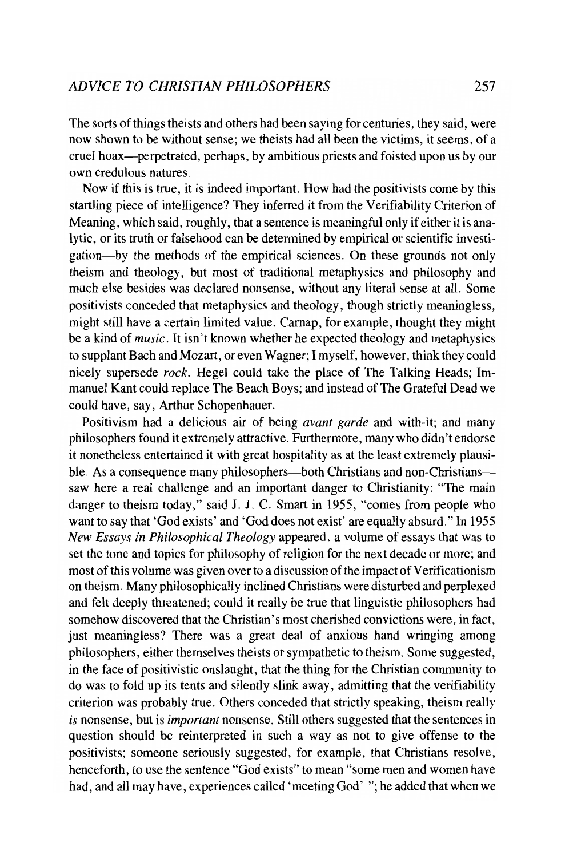The sorts of things theists and others had been saying for centuries, they said, were now shown to be without sense; we theists had all been the victims, it seems, of a cruel hoax-perpetrated, perhaps, by ambitious priests and foisted upon us by our own credulous natures.

Now if this is true, it is indeed important. How had the positivists come by this startling piece of intelligence? They inferred it from the Verifiability Criterion of Meaning, which said, roughly, that a sentence is meaningful only if either it is analytic, or its truth or falsehood can be determined by empirical or scientific investigation-by the methods of the empirical sciences. On these grounds not only theism and theology, but most of traditional metaphysics and philosophy and much else besides was declared nonsense, without any literal sense at all. Some positivists conceded that metaphysics and theology, though strictly meaningless, might still have a certain limited value. Camap, for example, thought they might be a kind of *music.* It isn't known whether he expected theology and metaphysics to supplant Bach and Mozart, or even Wagner; I myself, however, think they could nicely supersede *rock.* Hegel could take the place of The Talking Heads; Immanuel Kant could replace The Beach Boys; and instead of The Grateful Dead we could have, say, Arthur Schopenhauer.

Positivism had a delicious air of being *avant garde* and with-it; and many philosophers found it extremely attractive. Furthermore, many who didn't endorse it nonetheless entertained it with great hospitality as at the least extremely plausible. As a consequence many philosophers—both Christians and non-Christians saw here a real challenge and an important danger to Christianity: "The main danger to theism today," said J. J. C. Smart in 1955, "comes from people who want to say that 'God exists' and 'God does not exist' are equally absurd." **In** 1955 *New Essays in Philosophical Theology* appeared, a volume of essays that was to set the tone and topics for philosophy of religion for the next decade or more; and most of this volume was given over to a discussion of the impact of Verificationism on theism. Many philosophically inclined Christians were disturbed and perplexed and felt deeply threatened; could it really be true that linguistic philosophers had somehow discovered that the Christian's most cherished convictions were, in fact, just meaningless? There was a great deal of anxious hand wringing among philosophers, either themselves theists or sympathetic to theism. Some suggested, in the face of positivistic onslaught, that the thing for the Christian community to do was to fold up its tents and silently slink away, admitting that the verifiability criterion was probably true. Others conceded that strictly speaking, theism really *is* nonsense, but is *important* nonsense. Still others suggested that the sentences in question should be reinterpreted in such a way as not to give offense to the positivists; someone seriously suggested, for example, that Christians resolve, henceforth, to use the sentence "God exists" to mean "some men and women have had, and all may have, experiences called 'meeting God' "; he added that when we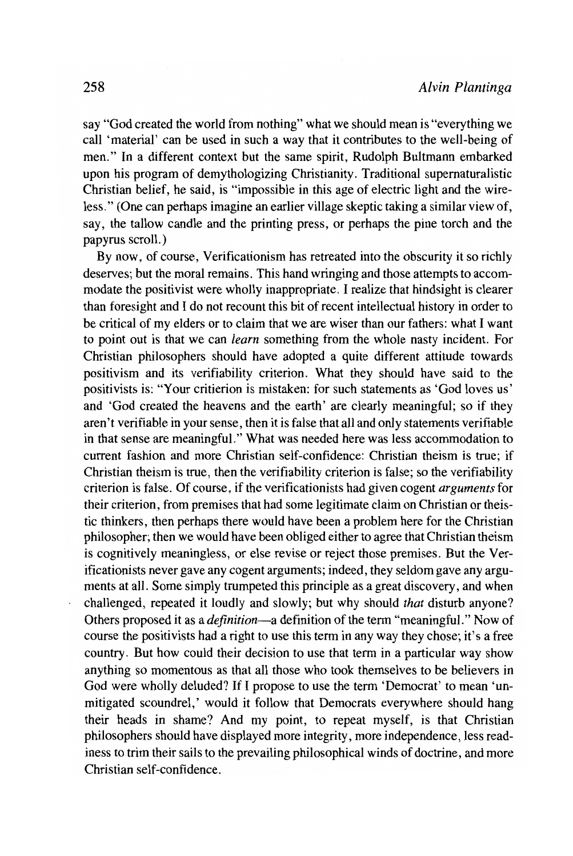say "God created the world from nothing" what we should mean is "everything we call 'material' can be used in such a way that it contributes to the well-being of men." In a different context but the same spirit, Rudolph Bultmann embarked upon his program of demythologizing Christianity. Traditional supernaturalistic Christian belief, he said, is "impossible in this age of electric light and the wireless." (One can perhaps imagine an earlier village skeptic taking a similar view of, say, the tallow candle and the printing press, or perhaps the pine torch and the papyrus scroll.)

By now, of course, Verificationism has retreated into the obscurity it so richly deserves; but the moral remains. This hand wringing and those attempts to accommodate the positivist were wholly inappropriate. I realize that hindsight is clearer than foresight and I do not recount this bit of recent intellectual history in order to be critical of my elders or to claim that we are wiser than our fathers: what I want to point out is that we can *learn* something from the whole nasty incident. For Christian philosophers should have adopted a quite different attitude towards positivism and its verifiability criterion. What they should have said to the positivists is: "Your critierion is mistaken: for such statements as 'God loves us' and 'God created the heavens and the earth' are clearly meaningful; so if they aren't verifiable in your sense, then it is false that all and only statements verifiable in that sense are meaningful." What was needed here was less accommodation to current fashion and more Christian self-confidence: Christian theism is true; if Christian theism is true, then the verifiability criterion is false; so the verifiability criterion is false. Of course, if the verificationists had given cogent *arguments* for their criterion, from premises that had some legitimate claim on Christian or theistic thinkers, then perhaps there would have been a problem here for the Christian philosopher; then we would have been obliged either to agree that Christian theism is cognitively meaningless, or else revise or reject those premises. But the Verificationists never gave any cogent arguments; indeed, they seldom gave any arguments at all. Some simply trumpeted this principle as a great discovery, and when challenged, repeated it loudly and slowly; but why should *that* disturb anyone? Others proposed it as a *definition-a* definition of the term "meaningful." Now of course the positivists had a right to use this term in any way they chose; it's a free country. But how could their decision to use that term in a particular way show anything so momentous as that all those who took themselves to be believers in God were wholly deluded? If I propose to use the term 'Democrat' to mean 'unmitigated scoundrel,' would it follow that Democrats everywhere should hang their heads in shame? And my point, to repeat myself, is that Christian philosophers should have displayed more integrity, more independence, less readiness to trim their sails to the prevailing philosophical winds of doctrine, and more Christian self-confidence.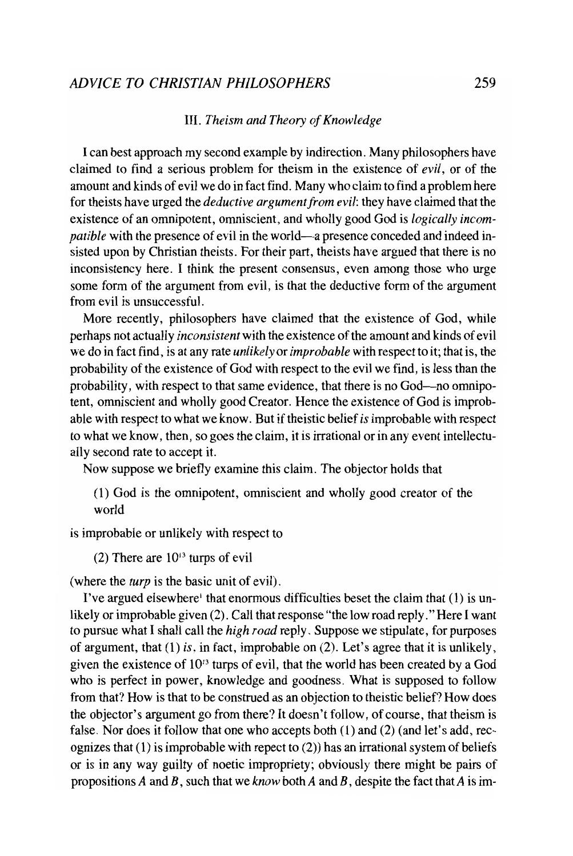## *ADVICE TO CHRISTIAN PHILOSOPHERS* 259

#### III. *Theism and Theory of Knowledge*

I can best approach my second example by indirection. Many philosophers have claimed to find a serious problem for theism in the existence of *evil,* or of the amount and kinds of evil we do in fact find. Many who claim to find a problem here for theists have urged the *deductive argument from evil:* they have claimed that the existence of an omnipotent, omniscient, and wholly good God is *logically incompatible* with the presence of evil in the world-a presence conceded and indeed insisted upon by Christian theists. For their part, theists have argued that there is no inconsistency here. I think the present consensus, even among those who urge some form of the argument from evil, is that the deductive form of the argument from evil is unsuccessful.

More recently, philosophers have claimed that the existence of God, while perhaps not actually *inconsistent* with the existence of the amount and kinds of evil we do in fact find, is at any rate *unlikely* or *improbable* with respect to it; that is, the probability of the existence of God with respect to the evil we find, is less than the probability, with respect to that same evidence, that there is no God-no omnipotent, omniscient and wholly good Creator. Hence the existence of God is improbable with respect to what we know. But if theistic belief *is* improbable with respect to what we know, then, so goes the claim, it is irrational or in any event intellectually second rate to accept it.

Now suppose we briefly examine this claim. The objector holds that

(1) God is the omnipotent, omniscient and wholly good creator of the world

is improbable or unlikely with respect to

(2) There are  $10^{13}$  turps of evil

(where the *turp* is the basic unit of evil).

I've argued elsewhere<sup> $l$ </sup> that enormous difficulties beset the claim that  $(l)$  is unlikely or improbable given (2). Call that response "the low road reply." Here I want to pursue what I shall call the *high road* reply. Suppose we stipulate, for purposes of argument, that (1) *is,* in fact, improbable on (2). Let's agree that it is unlikely, given the existence of  $10^{13}$  turps of evil, that the world has been created by a God who is perfect in power, knowledge and goodness. What is supposed to follow from that? How is that to be construed as an objection to theistic belief? How does the objector's argument go from there? It doesn't follow, of course, that theism is false. Nor does it follow that one who accepts both (1) and (2) (and let's add, recognizes that  $(1)$  is improbable with repect to  $(2)$ ) has an irrational system of beliefs or is in any way guilty of noetic impropriety; obviously there might be pairs of propositions *A* and *B,* such that we *know* both *A* and *B,* despite the fact that *A* is im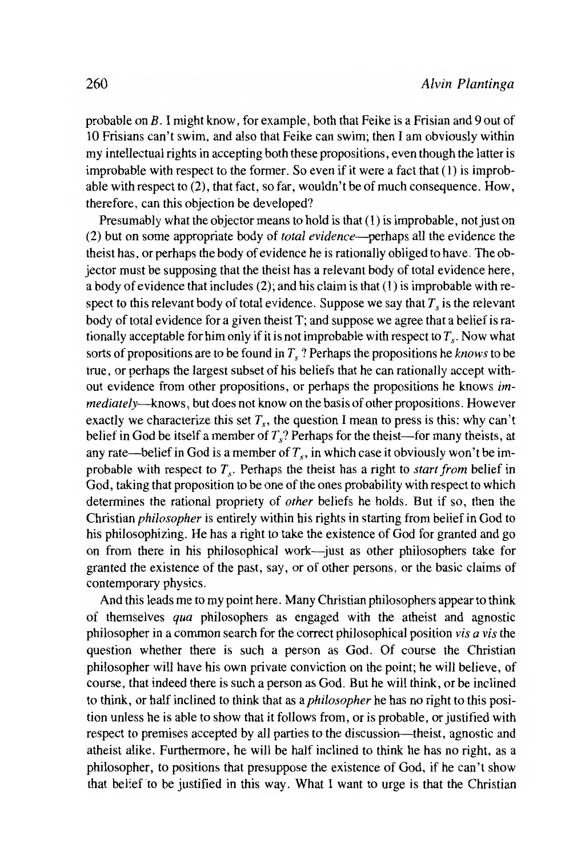probable on B. I might know, for example, both that Feike is a Frisian and 9 out of 10 Frisians can't swim, and also that Feike can swim; then I am obviously within my intellectual rights in accepting both these propositions, even though the latter is improbable with respect to the former. So even if it were a fact that (1) is improbable with respect to (2), that fact, so far, wouldn't be of much consequence. How, therefore, can this objection be developed?

Presumably what the objector means to hold is that (1) is improbable, not just on (2) but on some appropriate body of *total* evidence-perhaps all the evidence the theist has, or perhaps the body of evidence he is rationally obliged to have. The objector must be supposing that the theist has a relevant body of total evidence here, a body of evidence that includes (2); and his claim is that (1) is improbable with respect to this relevant body of total evidence. Suppose we say that  $T_s$  is the relevant body of total evidence for a given theist T; and suppose we agree that a belief is rationally acceptable for him only if it is not improbable with respect to  $T<sub>s</sub>$ . Now what sorts of propositions are to be found in  $T_s$ ? Perhaps the propositions he *knows* to be true, or perhaps the largest subset of his beliefs that he can rationally accept without evidence from other propositions, or perhaps the propositions he knows *immediately-knows,* but does not know on the basis of other propositions. However exactly we characterize this set  $T_s$ , the question I mean to press is this: why can't belief in God be itself a member of  $T<sub>s</sub>$ ? Perhaps for the theist-for many theists, at any rate—belief in God is a member of  $T<sub>s</sub>$ , in which case it obviously won't be improbable with respect to  $T<sub>s</sub>$ . Perhaps the theist has a right to *start from* belief in God, taking that proposition to be one of the ones probability with respect to which determines the rational propriety of *other* beliefs he holds. But if so, then the Christian *philosopher* is entirely within his rights in starting from belief in God to his philosophizing. He has a right to take the existence of God for granted and go on from there in his philosophical work-just as other philosophers take for granted the existence of the past, say, or of other persons, or the basic claims of contemporary physics.

And this leads me to my point here. Many Christian philosophers appear to think of themselves *qua* philosophers as engaged with the atheist and agnostic philosopher in a common search for the correct philosophical position *vis a vis* the question whether there is such a person as God. Of course the Christian philosopher will have his own private conviction on the point; he will believe, of course, that indeed there is such a person as God. But he will think, or be inclined to think, or half inclined to think that as a *philosopher* he has no right to this position unless he is able to show that it follows from, or is probable, or justified with respect to premises accepted by all parties to the discussion—theist, agnostic and atheist alike. Furthermore, he will be half inclined to think he has no right, as a philosopher, to positions that presuppose the existence of God, if he can't show that belief to be justified in this way. What I want to urge is that the Christian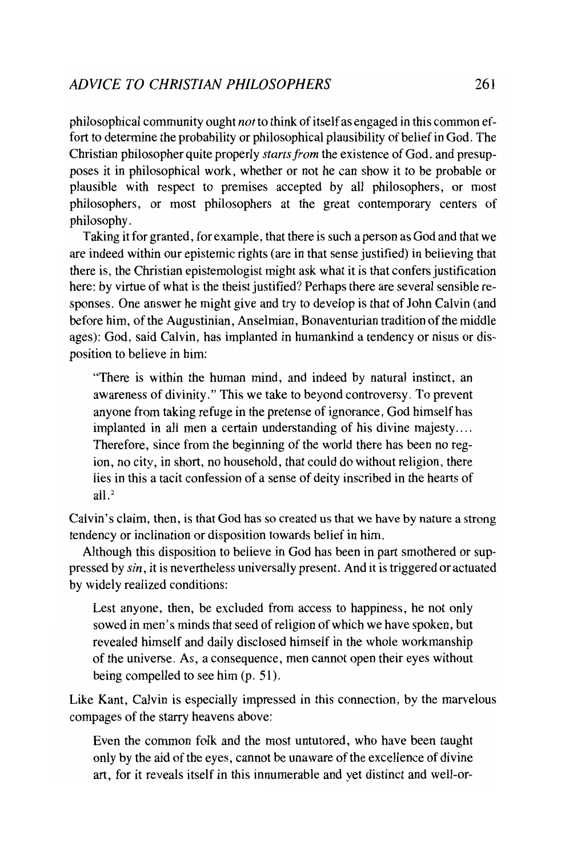philosophical community ought *not* to think of itself as engaged in this common effort to determine the probability or philosophical plausibility of belief in God. The Christian philosopher quite properly *starts from* the existence of God, and presupposes it in philosophical work, whether or not he can show it to be probable or plausible with respect to premises accepted by all philosophers, or most philosophers, or most philosophers at the great contemporary centers of philosophy.

Taking it for granted, for example, that there is such a person as God and that we are indeed within our epistemic rights (are in that sense justified) in believing that there is, the Christian epistemologist might ask what it is that confers justification here: by virtue of what is the theist justified? Perhaps there are several sensible responses. One answer he might give and try to develop is that of John Calvin (and before him, of the Augustinian, Anselmian, Bonaventurian tradition of the middle ages): God, said Calvin, has implanted in humankind a tendency or nisus or disposition to believe in him:

"There is within the human mind, and indeed by natural instinct, an awareness of divinity." This we take to beyond controversy. To prevent anyone from taking refuge in the pretense of ignorance, God himself has implanted in all men a certain understanding of his divine majesty.... Therefore, since from the beginning of the world there has been no region, no city, in short, no household, that could do without religion, there lies in this a tacit confession of a sense of deity inscribed in the hearts of  $all<sup>2</sup>$ 

Calvin's claim, then, is that God has so created us that we have by nature a strong tendency or inclination or disposition towards belief in him.

Although this disposition to believe in God has been in part smothered or suppressed by *sin,* it is nevertheless universally present. And it is triggered or actuated by widely realized conditions:

Lest anyone, then, be excluded from access to happiness, he not only sowed in men's minds that seed of religion of which we have spoken, but revealed himself and daily disclosed himself in the whole workmanship of the universe. As, a consequence, men cannot open their eyes without being compelled to see him (p. 51).

Like Kant, Calvin is especially impressed in this connection, by the marvelous compages of the starry heavens above:

Even the common folk and the most untutored, who have been taught only by the aid of the eyes, cannot be unaware of the excellence of divine art, for it reveals itself in this innumerable and yet distinct and well-or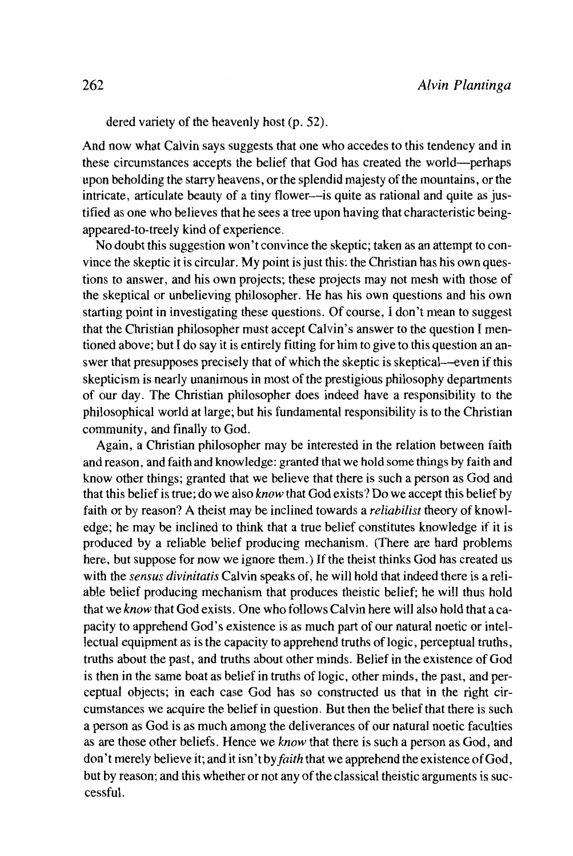dered variety of the heavenly host (p. 52).

And now what Calvin says suggests that one who accedes to this tendency and in these circumstances accepts the belief that God has created the world-perhaps upon beholding the starry heavens, or the splendid majesty of the mountains, or the intricate, articulate beauty of a tiny flower-is quite as rational and quite as justified as one who believes that he sees a tree upon having that characteristic beingappeared-to-treely kind of experience.

No doubt this suggestion won't convince the skeptic; taken as an attempt to convince the skeptic it is circular. My point is just this: the Christian has his own questions to answer, and his own projects; these projects may not mesh with those of the skeptical or unbelieving philosopher. He has his own questions and his own starting point in investigating these questions. Of course, I don't mean to suggest that the Christian philosopher must accept Calvin's answer to the question I mentioned above; but I do say it is entirely fitting for him to give to this question an answer that presupposes precisely that of which the skeptic is skeptical—even if this skepticism is nearly unanimous in most of the prestigious philosophy departments of our day. The Christian philosopher does indeed have a responsibility to the philosophical world at large; but his fundamental responsibility is to the Christian community, and finally to God.

Again, a Christian philosopher may be interested in the relation between faith and reason, and faith and knowledge: granted that we hold some things by faith and know other things; granted that we believe that there is such a person as God and that this belief is true; do we also *know* that God exists? Do we accept this belief by faith or by reason? A theist may be inclined towards a *reliabilist* theory of knowledge; he may be inclined to think that a true belief constitutes knowledge if it is produced by a reliable belief producing mechanism. (There are hard problems here, but suppose for now we ignore them.) If the theist thinks God has created us with the *sensus divinitatis* Calvin speaks of, he will hold that indeed there is a reliable belief producing mechanism that produces theistic belief; he will thus hold that we *know* that God exists. One who follows Calvin here will also hold that a capacity to apprehend God's existence is as much part of our natural noetic or intellectual equipment as is the capacity to apprehend truths of logic, perceptual truths, truths about the past, and truths about other minds. Belief in the existence of God is then in the same boat as belief in truths of logic, other minds, the past, and perceptual objects; in each case God has so constructed us that in the right circumstances we acquire the belief in question. But then the belief that there is such a person as God is as much among the deliverances of our natural noetic faculties as are those other beliefs. Hence we *know* that there is such a person as God, and don't merely believe it; and it isn't by *faith* that we apprehend the existence of God, but by reason; and this whether or not any of the classical theistic arguments is successful.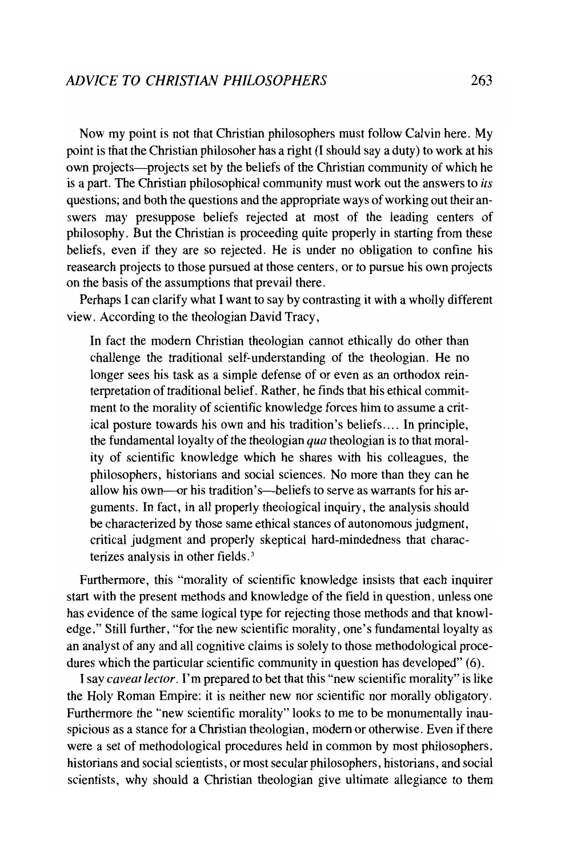Now my point is not that Christian philosophers must follow Calvin here. My point is that the Christian philosoher has a right (I should say a duty) to work at his own projects-projects set by the beliefs of the Christian community of which he is a part. The Christian philosophical community must work out the answers to *its*  questions; and both the questions and the appropriate ways of working out their answers may presuppose beliefs rejected at most of the leading centers of philosophy. But the Christian is proceeding quite properly in starting from these beliefs, even if they are so rejected. He is under no obligation to confine his reasearch projects to those pursued at those centers, or to pursue his own projects on the basis of the assumptions that prevail there.

Perhaps I can clarify what I want to say by contrasting it with a wholly different view. According to the theologian David Tracy,

In fact the modem Christian theologian cannot ethically do other than challenge the traditional self-understanding of the theologian. He no longer sees his task as a simple defense of or even as an orthodox reinterpretation of traditional belief. Rather, he finds that his ethical commitment to the morality of scientific knowledge forces him to assume a critical posture towards his own and his tradition's beliefs .... In principle, the fundamental loyalty of the theologian *qua* theologian is to that morality of scientific knowledge which he shares with his colleagues, the philosophers, historians and social sciences. No more than they can he allow his own-or his tradition's-beliefs to serve as warrants for his arguments. In fact, in all properly theological inquiry, the analysis should be characterized by those same ethical stances of autonomous judgment, critical judgment and properly skeptical hard-mindedness that characterizes analysis in other fields. 3

Furthermore, this "morality of scientific knowledge insists that each inquirer start with the present methods and knowledge of the field in question, unless one has evidence of the same logical type for rejecting those methods and that knowledge," Still further, "for the new scientific morality, one's fundamental loyalty as an analyst of any and all cognitive claims is solely to those methodological procedures which the particular scientific community in question has developed" (6).

I say *caveat lector.* I'm prepared to bet that this "new scientific morality" is like the Holy Roman Empire: it is neither new nor scientific nor morally obligatory. Furthermore the "new scientific morality" looks to me to be monumentally inauspicious as a stance for a Christian theologian, modem or otherwise. Even if there were a set of methodological procedures held in common by most philosophers, historians and social scientists, or most secular philosophers, historians, and social scientists, why should a Christian theologian give ultimate allegiance to them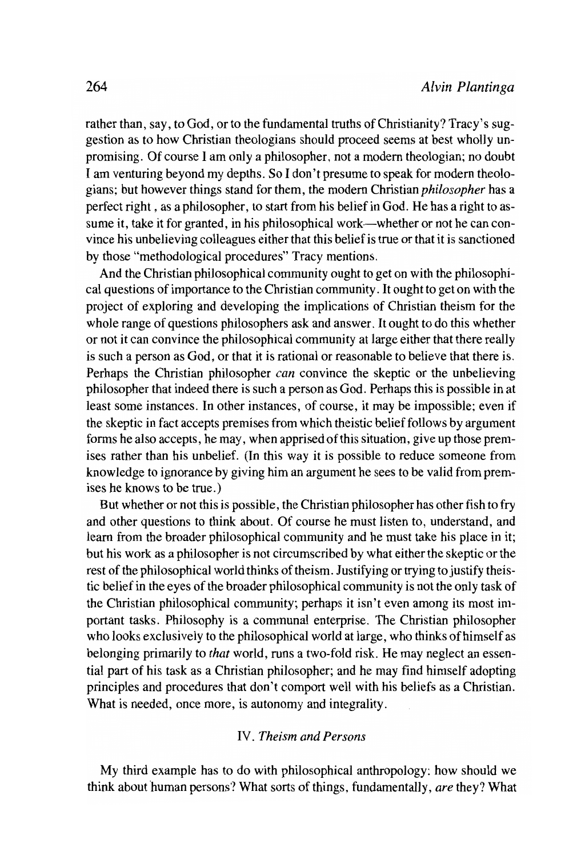rather than, say, to God, or to the fundamental truths of Christianity? Tracy's suggestion as to how Christian theologians should proceed seems at best wholly unpromising. Of course I am only a philosopher, not a modem theologian; no doubt I am venturing beyond my depths. So I don't presume to speak for modem theologians; but however things stand for them, the modem Christian *philosopher* has a perfect right, as a philosopher, to start from his belief in God. He has a right to assume it, take it for granted, in his philosophical work-whether or not he can convince his unbelieving colleagues either that this belief is true or that it is sanctioned by those "methodological procedures" Tracy mentions.

And the Christian philosophical community ought to get on with the philosophical questions of importance to the Christian community. It ought to get on with the project of exploring and developing the implications of Christian theism for the whole range of questions philosophers ask and answer. It ought to do this whether or not it can convince the philosophical community at large either that there really is such a person as God, or that it is rational or reasonable to believe that there is. Perhaps the Christian philosopher *can* convince the skeptic or the unbelieving philosopher that indeed there is such a person as God. Perhaps this is possible in at least some instances. In other instances, of course, it may be impossible; even if the skeptic in fact accepts premises from which theistic belief follows by argument forms he also accepts, he may, when apprised of this situation, give up those premises rather than his unbelief. (In this way it is possible to reduce someone from knowledge to ignorance by giving him an argument he sees to be valid from premises he knows to be true.)

But whether or not this is possible, the Christian philosopher has other fish to fry and other questions to think about. Of course he must listen to, understand, and learn from the broader philosophical community and he must take his place in it; but his work as a philosopher is not circumscribed by what either the skeptic or the rest of the philosophical world thinks of theism. Justifying or trying to justify theistic belief in the eyes of the broader philosophical community is not the only task of the Christian philosophical community; perhaps it isn't even among its most important tasks. Philosophy is a communal enterprise. The Christian philosopher who looks exclusively to the philosophical world at large, who thinks of himself as belonging primarily to *that* world, runs a two-fold risk. He may neglect an essential part of his task as a Christian philosopher; and he may find himself adopting principles and procedures that don't comport well with his beliefs as a Christian. What is needed, once more, is autonomy and integrality.

### IV. *Theism and Persons*

My third example has to do with philosophical anthropology: how should we think about human persons? What sorts of things, fundamentally, *are* they? What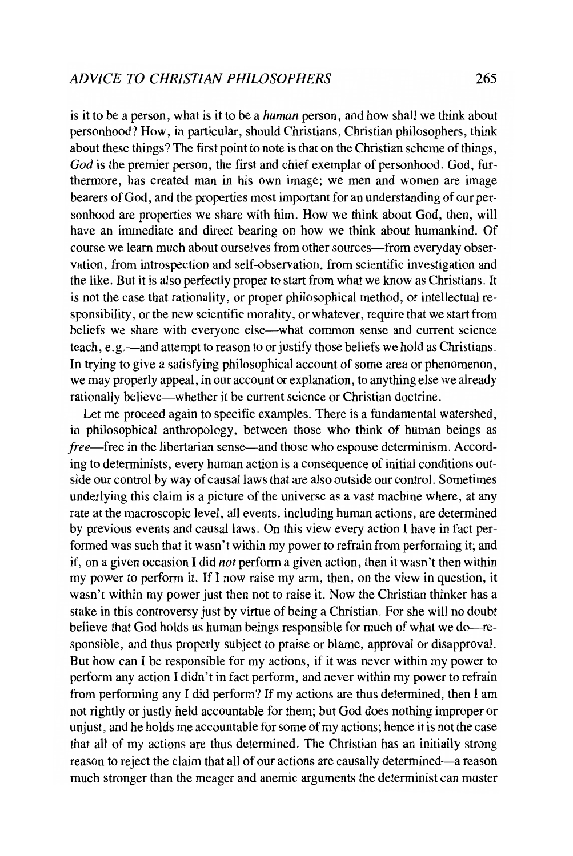is it to be a person, what is it to be a *human* person, and how shall we think about personhood? How, in particular, should Christians, Christian philosophers, think about these things? The first point to note is that on the Christian scheme of things , God is the premier person, the first and chief exemplar of personhood. God, furthermore, has created man in his own image; we men and women are image bearers of God, and the properties most important for an understanding of our personhood are properties we share with him. How we think about God, then, will have an immediate and direct bearing on how we think about humankind. Of course we learn much about ourselves from other sources-from everyday observation, from introspection and self-observation, from scientific investigation and the like. But it is also perfectly proper to start from what we know as Christians. It is not the case that rationality, or proper philosophical method, or intellectual responsibility, or the new scientific morality, or whatever, require that we start from beliefs we share with everyone else—what common sense and current science teach, e.g.—and attempt to reason to or justify those beliefs we hold as Christians. In trying to give a satisfying philosophical account of some area or phenomenon, we may properly appeal, in our account or explanation, to anything else we already rationally believe—whether it be current science or Christian doctrine.

Let me proceed again to specific examples. There is a fundamental watershed, in philosophical anthropology, between those who think of human beings as *free*—free in the libertarian sense—and those who espouse determinism. According to determinists, every human action is a consequence of initial conditions outside our control by way of causal laws that are also outside our control. Sometimes underlying this claim is a picture of the universe as a vast machine where, at any rate at the macroscopic level, all events, including human actions, are determined by previous events and causal laws. On this view every action I have in fact performed was such that it wasn't within my power to refrain from performing it; and if, on a given occasion I did *not* perform a given action, then it wasn't then within my power to perform it. If I now raise my arm, then, on the view in question, it wasn't within my power just then not to raise it. Now the Christian thinker has a stake in this controversy just by virtue of being a Christian. For she will no doubt believe that God holds us human beings responsible for much of what we do-responsible, and thus properly subject to praise or blame, approval or disapproval. But how can I be responsible for my actions, if it was never within my power to perform any action I didn't in fact perform, and never within my power to refrain from performing any I did perform? If my actions are thus determined, then I am not rightly or justly held accountable for them; but God does nothing improper or unjust, and he holds me accountable for some of my actions; hence it is not the case that all of my actions are thus determined. The Christian has an initially strong reason to reject the claim that all of our actions are causally determined—a reason much stronger than the meager and anemic arguments the determinist can muster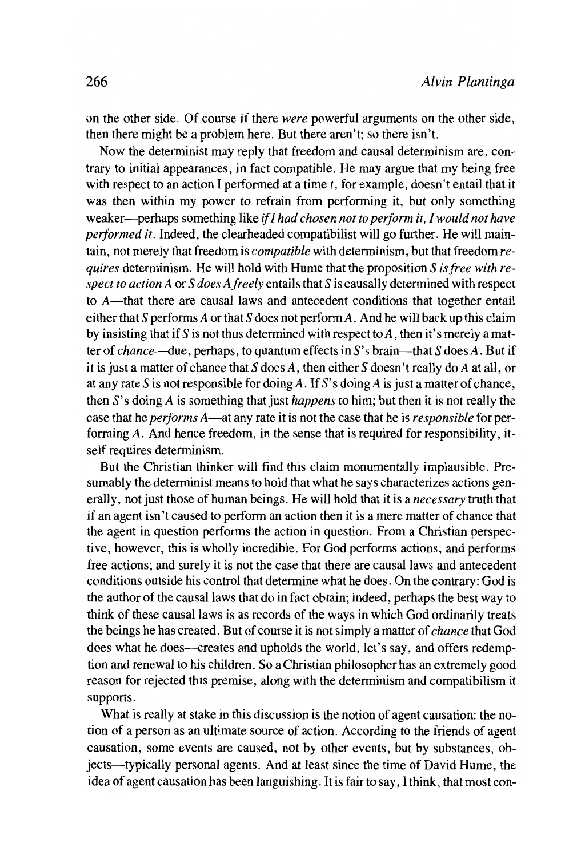on the other side. Of course if there *were* powerful arguments on the other side, then there might be a problem here. But there aren't; so there isn't.

Now the determinist may reply that freedom and causal determinism are, contrary to initial appearances, in fact compatible. He may argue that my being free with respect to an action I performed at a time *t,* for example, doesn't entail that it was then within my power to refrain from performing it, but only something weaker-perhaps something like *if I had chosen not to perform it, I would not have performed it.* Indeed, the clearheaded compatibilist will go further. He will maintain, not merely that freedom is *compatible* with determinism, but that freedom *requires* determinism. He will hold with Hume that the proposition *Sis free with respect to action A* or S *does Afreely* entails thatS is causally determined with respect to A-that there are causal laws and antecedent conditions that together entail either that S performs *A* or that S does not perform *A.* And he will back up this claim by insisting that if S is not thus determined with respect to A, then it's merely a matter of *chance-due,* perhaps, to quantum effects in S's brain-that S *doesA.* But if it is just a matter of chance that S does A, then either S doesn't really do A at all, or at any rate S is not responsible for doing *A.* If S's doing *A* is just a matter of chance, then S's doing *A* is something that just *happens* to him; but then it is not really the case that he *performs A-at* any rate it is not the case that he is *responsible* for performing *A.* And hence freedom, in the sense that is required for responsibility, itself requires determinism.

But the Christian thinker will find this claim monumentally implausible. Presumably the determinist means to hold that what he says characterizes actions generally, not just those of human beings. He will hold that it is a *necessary* truth that if an agent isn't caused to perform an action then it is a mere matter of chance that the agent in question performs the action in question. From a Christian perspective, however, this is wholly incredible. For God performs actions, and performs free actions; and surely it is not the case that there are causal laws and antecedent conditions outside his control that determine what he does. On the contrary: God is the author of the causal laws that do in fact obtain; indeed, perhaps the best way to think of these causal laws is as records of the ways in which God ordinarily treats the beings he has created. But of course it is not simply a matter of *chance* that God does what he does—creates and upholds the world, let's say, and offers redemption and renewal to his children. So a Christian philosopher has an extremely good reason for rejected this premise, along with the determinism and compatibilism it supports.

What is really at stake in this discussion is the notion of agent causation: the notion of a person as an ultimate source of action. According to the friends of agent causation, some events are caused, not by other events, but by substances, objects-typically personal agents. And at least since the time of David Hume, the idea of agent causation has been languishing. It is fair to say, I think, that most con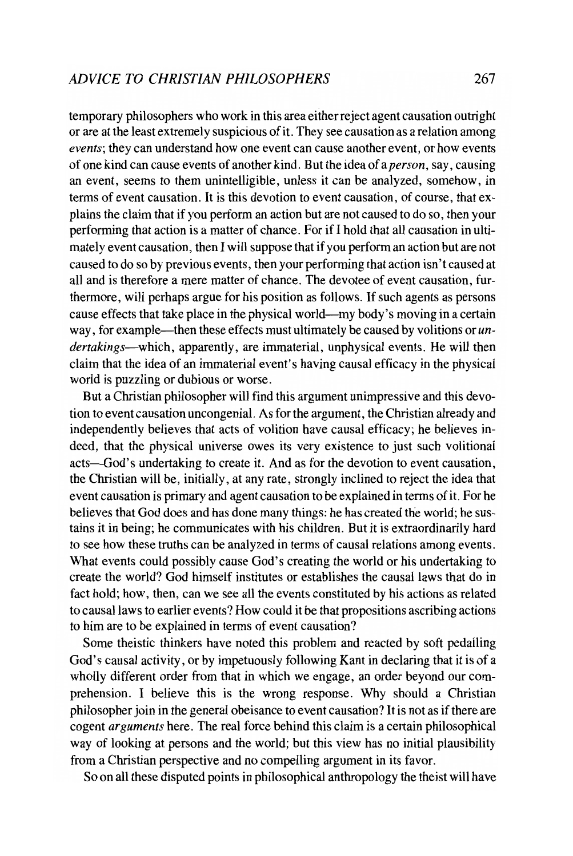temporary philosophers who work in this area either reject agent causation outright or are at the least extremely suspicious of it. They see causation as a relation among *events;* they can understand how one event can cause another event, or how events of one kind can cause events of another kind. But the idea of *aperson,* say, causing an event, seems to them unintelligible, unless it can be analyzed, somehow, in terms of event causation. It is this devotion to event causation, of course, that explains the claim that if you perform an action but are not caused to do so, then your performing that action is a matter of chance. For if I hold that all causation in ultimately event causation, then I will suppose that if you perform an action but are not caused to do so by previous events, then your performing that action isn't caused at all and is therefore a mere matter of chance. The devotee of event causation, furthermore, will perhaps argue for his position as follows. If such agents as persons cause effects that take place in the physical world-my body's moving in a certain way, for example—then these effects must ultimately be caused by volitions or *undertakings-which,* apparently, are immaterial, unphysical events. He will then claim that the idea of an immaterial event's having causal efficacy in the physical world is puzzling or dubious or worse.

But a Christian philosopher will find this argument unimpressive and this devotion to event causation uncongenial. As for the argument, the Christian already and independently believes that acts of volition have causal efficacy; he believes indeed, that the physical universe owes its very existence to just such volitional acts-God's undertaking to create it. And as for the devotion to event causation, the Christian will be, initially, at any rate, strongly inclined to reject the idea that event causation is primary and agent causation to be explained in terms of it. For he believes that God does and has done many things: he has created the world; he sustains it in being; he communicates with his children. But it is extraordinarily hard to see how these truths can be analyzed in terms of causal relations among events. What events could possibly cause God's creating the world or his undertaking to create the world? God himself institutes or establishes the causal laws that do in fact hold; how, then, can we see all the events constituted by his actions as related to causal laws to earlier events? How could it be that propositions ascribing actions to him are to be explained in terms of event causation?

Some theistic thinkers have noted this problem and reacted by soft pedalling God's causal activity, or by impetuously following Kant in declaring that it is of a wholly different order from that in which we engage, an order beyond our comprehension. I believe this is the wrong response. Why should a Christian philosopher join in the general obeisance to event causation? It is not as if there are cogent *arguments* here. The real force behind this claim is a certain philosophical way of looking at persons and the world; but this view has no initial plausibility from a Christian perspective and no compelling argument in its favor.

So on all these disputed points in philosophical anthropology the theist will have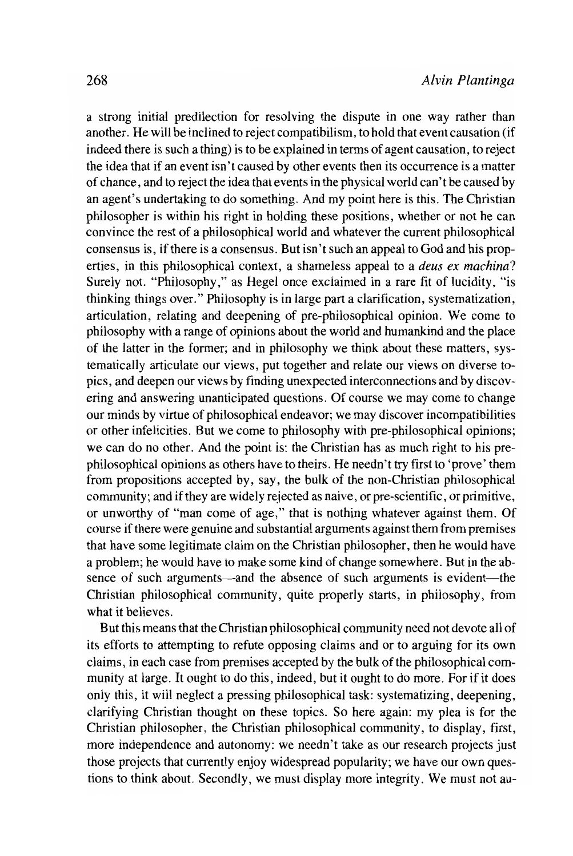a strong initial predilection for resolving the dispute in one way rather than another. He will be inclined to reject compatibilism, to hold that event causation (if indeed there is such a thing) is to be explained in terms of agent causation, to reject the idea that if an event isn't caused by other events then its occurrence is a matter of chance, and to reject the idea that events in the physical world can't be caused by an agent's undertaking to do something. And my point here is this. The Christian philosopher is within his right in holding these positions, whether or not he can convince the rest of a philosophical world and whatever the current philosophical consensus is, if there is a consensus. But isn't such an appeal to God and his properties, in this philosophical context, a shameless appeal to a *deus ex machina?*  Surely not. "Philosophy," as Hegel once exclaimed in a rare fit of lucidity, "is thinking things over." Philosophy is in large part a clarification, systematization, articulation, relating and deepening of pre-philosophical opinion. We come to philosophy with a range of opinions about the world and humankind and the place of the latter in the former; and in philosophy we think about these matters, systematically articulate our views, put together and relate our views on diverse topics, and deepen our views by finding unexpected interconnections and by discovering and answering unanticipated questions. Of course we may come to change our minds by virtue of philosophical endeavor; we may discover incompatibilities or other infelicities. But we come to philosophy with pre-philosophical opinions; we can do no other. And the point is: the Christian has as much right to his prephilosophical opinions as others have to theirs. He needn't try first to 'prove' them from propositions accepted by, say, the bulk of the non-Christian philosophical community; and if they are widely rejected as naive, or pre-scientific, or primitive, or unworthy of "man come of age," that is nothing whatever against them. Of course if there were genuine and substantial arguments against them from premises that have some legitimate claim on the Christian philosopher, then he would have a problem; he would have to make some kind of change somewhere. But in the absence of such arguments—and the absence of such arguments is evident—the Christian philosophical community, quite properly starts, in philosophy, from what it believes.

But this means that the Christian philosophical community need not devote all of its efforts to attempting to refute opposing claims and or to arguing for its own claims, in each case from premises accepted by the bulk of the philosophical community at large. It ought to do this, indeed, but it ought to do more. For if it does only this, it will neglect a pressing philosophical task: systematizing, deepening, clarifying Christian thought on these topics. So here again: my plea is for the Christian philosopher, the Christian philosophical community, to display, first, more independence and autonomy: we needn't take as our research projects just those projects that currently enjoy widespread popularity; we have our own questions to think about. Secondly, we must display more integrity. We must not au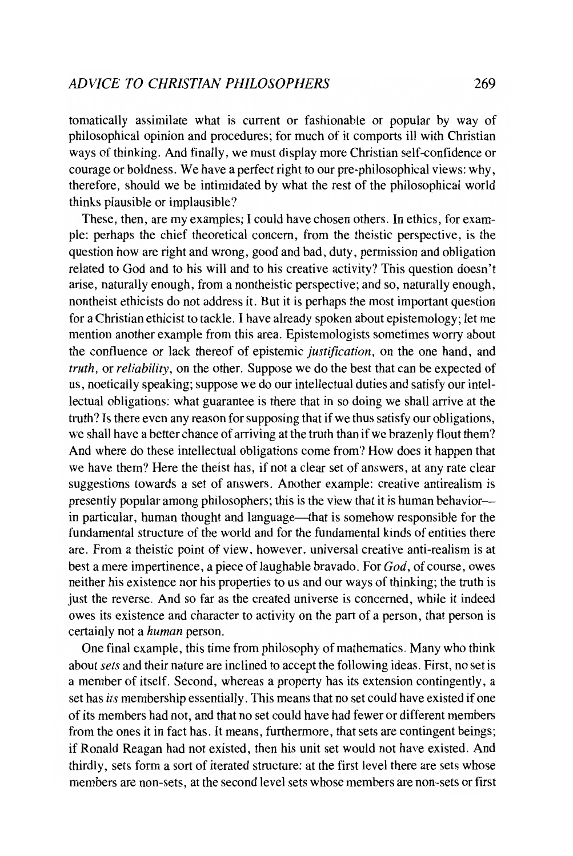tomatically assimilate what is current or fashionable or popular by way of philosophical opinion and procedures; for much of it comports ill with Christian ways of thinking. And finally, we must display more Christian self-confidence or courage or boldness. We have a perfect right to our pre-philosophical views: why, therefore, should we be intimidated by what the rest of the philosophical world thinks plausible or implausible?

These, then, are my examples; I could have chosen others. In ethics, for example: perhaps the chief theoretical concern, from the theistic perspective, is the question how are right and wrong, good and bad, duty, permission and obligation related to God and to his will and to his creative activity? This question doesn't arise, naturally enough, from a nontheistic perspective; and so, naturally enough, nontheist ethicists do not address it. But it is perhaps the most important question for a Christian ethicist to tackle. I have already spoken about epistemology; let me mention another example from this area. Epistemologists sometimes worry about the confluence or lack thereof of epistemic *justification,* on the one hand, and *truth,* or *reliability,* on the other. Suppose we do the best that can be expected of us, noetically speaking; suppose we do our intellectual duties and satisfy our intellectual obligations: what guarantee is there that in so doing we shall arrive at the truth? Is there even any reason for supposing that if we thus satisfy our obligations, we shall have a better chance of arriving at the truth than if we brazenly flout them? And where do these intellectual obligations come from? How does it happen that we have them? Here the theist has, if not a clear set of answers, at any rate clear suggestions towards a set of answers. Another example: creative antirealism is presently popular among philosophers; this is the view that it is human behaviorin particular, human thought and language—that is somehow responsible for the fundamental structure of the world and for the fundamental kinds of entities there are. From a theistic point of view, however, universal creative anti-realism is at best a mere impertinence, a piece of laughable bravado. For *God,* of course, owes neither his existence nor his properties to us and our ways of thinking; the truth is just the reverse. And so far as the created universe is concerned, while it indeed owes its existence and character to activity on the part of a person, that person is certainly not a *human* person.

One final example, this time from philosophy of mathematics. Many who think about *sets* and their nature are inclined to accept the following ideas. First, no set is a member of itself. Second, whereas a property has its extension contingently, a set has *its* membership essentially. This means that no set could have existed if one of its members had not, and that no set could have had fewer or different members from the ones it in fact has. It means, furthermore, that sets are contingent beings; if Ronald Reagan had not existed, then his unit set would not have existed. And thirdly, sets form a sort of iterated structure: at the first level there are sets whose members are non-sets, at the second level sets whose members are non-sets or first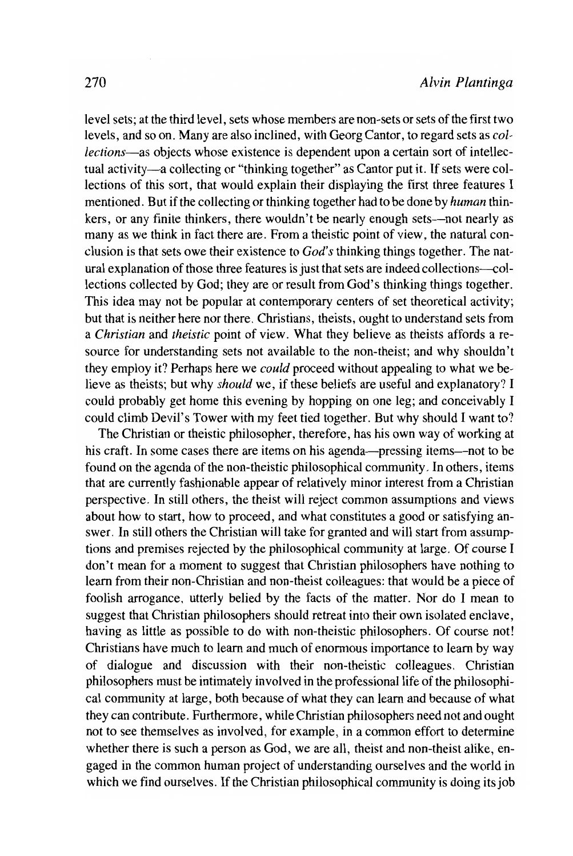level sets; at the third level, sets whose members are non-sets or sets of the first two levels, and so on. Many are also inclined, with Georg Cantor, to regard sets as *collections-as* objects whose existence is dependent upon a certain sort of intellectual activity-a collecting or "thinking together" as Cantor put it. If sets were collections of this sort, that would explain their displaying the first three features I mentioned. But if the collecting or thinking together had to be done by *human* thinkers, or any finite thinkers, there wouldn't be nearly enough sets—not nearly as many as we think in fact there are. From a theistic point of view, the natural conclusion is that sets owe their existence to *God's* thinking things together. The natural explanation of those three features is just that sets are indeed collections—collections collected by God; they are or result from God's thinking things together. This idea may not be popular at contemporary centers of set theoretical activity; but that is neither here nor there. Christians, theists, ought to understand sets from a *Christian* and *theistic* point of view. What they believe as theists affords a resource for understanding sets not available to the non-theist; and why shouldn't they employ it? Perhaps here we *could* proceed without appealing to what we believe as theists; but why *should* we, if these beliefs are useful and explanatory? I could probably get home this evening by hopping on one leg; and conceivably I could climb Devil's Tower with my feet tied together. But why should I want to?

The Christian or theistic philosopher, therefore, has his own way of working at his craft. In some cases there are items on his agenda—pressing items—not to be found on the agenda of the non-theistic philosophical community. In others, items that are currently fashionable appear of relatively minor interest from a Christian perspective. In still others, the theist will reject common assumptions and views about how to start, how to proceed, and what constitutes a good or satisfying answer. In still others the Christian will take for granted and will start from assumptions and premises rejected by the philosophical community at large. Of course I don't mean for a moment to suggest that Christian philosophers have nothing to learn from their non-Christian and non-theist colleagues: that would be a piece of foolish arrogance, utterly belied by the facts of the matter. Nor do I mean to suggest that Christian philosophers should retreat into their own isolated enclave, having as little as possible to do with non-theistic philosophers. Of course not! Christians have much to learn and much of enormous importance to learn by way of dialogue and discussion with their non-theistic colleagues. Christian philosophers must be intimately involved in the professional life of the philosophical community at large, both because of what they can learn and because of what they can contribute. Furthermore, while Christian philosophers need not and ought not to see themselves as involved, for example, in a common effort to determine whether there is such a person as God, we are all, theist and non-theist alike, engaged in the common human project of understanding ourselves and the world in which we find ourselves. If the Christian philosophical community is doing its job